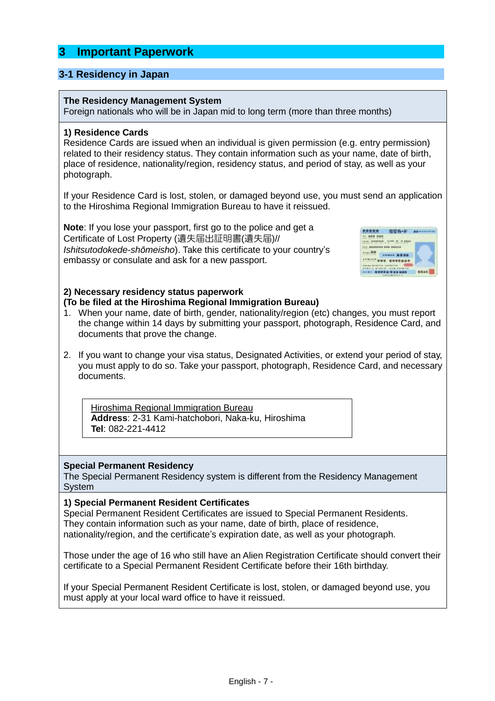# **3 Important Paperwork**

### **3-1 Residency in Japan**

#### **The Residency Management System**

Foreign nationals who will be in Japan mid to long term (more than three months)

#### **1) Residence Cards**

Residence Cards are issued when an individual is given permission (e.g. entry permission) related to their residency status. They contain information such as your name, date of birth, place of residence, nationality/region, residency status, and period of stay, as well as your photograph.

If your Residence Card is lost, stolen, or damaged beyond use, you must send an application to the Hiroshima Regional Immigration Bureau to have it reissued.

**Note**: If you lose your passport, first go to the police and get a Certificate of Lost Property (遺失届出証明書(遺失届)// *Ishitsutodokede-shōmeisho*). Take this certificate to your country's embassy or consulate and ask for a new passport.



### **2) Necessary residency status paperwork (To be filed at the Hiroshima Regional Immigration Bureau)**

- 1. When your name, date of birth, gender, nationality/region (etc) changes, you must report the change within 14 days by submitting your passport, photograph, Residence Card, and documents that prove the change.
- 2. If you want to change your visa status, Designated Activities, or extend your period of stay, you must apply to do so. Take your passport, photograph, Residence Card, and necessary documents.

Hiroshima Regional Immigration Bureau **Address**: 2-31 Kami-hatchobori, Naka-ku, Hiroshima **Tel**: 082-221-4412

#### **Special Permanent Residency**

The Special Permanent Residency system is different from the Residency Management System

#### **1) Special Permanent Resident Certificates**

Special Permanent Resident Certificates are issued to Special Permanent Residents. They contain information such as your name, date of birth, place of residence, nationality/region, and the certificate's expiration date, as well as your photograph.

Those under the age of 16 who still have an Alien Registration Certificate should convert their certificate to a Special Permanent Resident Certificate before their 16th birthday.

If your Special Permanent Resident Certificate is lost, stolen, or damaged beyond use, you must apply at your local ward office to have it reissued.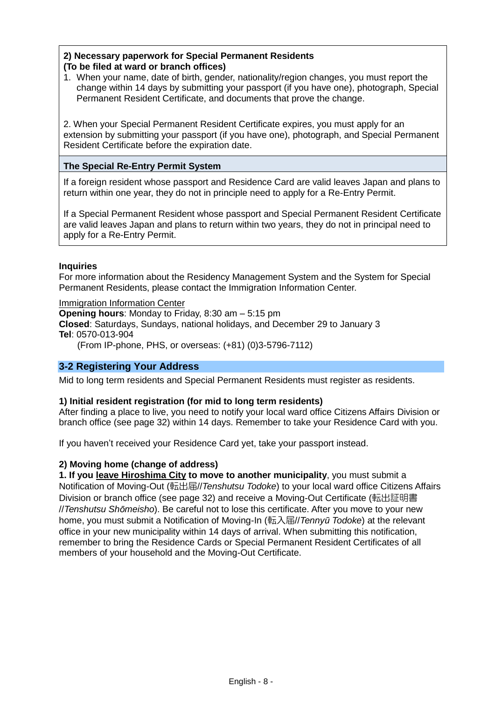## **2) Necessary paperwork for Special Permanent Residents (To be filed at ward or branch offices)**

1. When your name, date of birth, gender, nationality/region changes, you must report the change within 14 days by submitting your passport (if you have one), photograph, Special Permanent Resident Certificate, and documents that prove the change.

2. When your Special Permanent Resident Certificate expires, you must apply for an extension by submitting your passport (if you have one), photograph, and Special Permanent Resident Certificate before the expiration date.

## **The Special Re-Entry Permit System**

If a foreign resident whose passport and Residence Card are valid leaves Japan and plans to return within one year, they do not in principle need to apply for a Re-Entry Permit.

If a Special Permanent Resident whose passport and Special Permanent Resident Certificate are valid leaves Japan and plans to return within two years, they do not in principal need to apply for a Re-Entry Permit.

### **Inquiries**

For more information about the Residency Management System and the System for Special Permanent Residents, please contact the Immigration Information Center.

Immigration Information Center

**Opening hours**: Monday to Friday, 8:30 am – 5:15 pm **Closed**: Saturdays, Sundays, national holidays, and December 29 to January 3 **Tel**: 0570-013-904

(From IP-phone, PHS, or overseas: (+81) (0)3-5796-7112)

## **3-2 Registering Your Address**

Mid to long term residents and Special Permanent Residents must register as residents.

### **1) Initial resident registration (for mid to long term residents)**

After finding a place to live, you need to notify your local ward office Citizens Affairs Division or branch office (see page 32) within 14 days. Remember to take your Residence Card with you.

If you haven't received your Residence Card yet, take your passport instead.

### **2) Moving home (change of address)**

**1. If you leave Hiroshima City to move to another municipality**, you must submit a Notification of Moving-Out (転出届//*Tenshutsu Todoke*) to your local ward office Citizens Affairs Division or branch office (see page 32) and receive a Moving-Out Certificate (転出証明書 //*Tenshutsu Shōmeisho*). Be careful not to lose this certificate. After you move to your new home, you must submit a Notification of Moving-In (転入届//*Tennyū Todoke*) at the relevant office in your new municipality within 14 days of arrival. When submitting this notification, remember to bring the Residence Cards or Special Permanent Resident Certificates of all members of your household and the Moving-Out Certificate.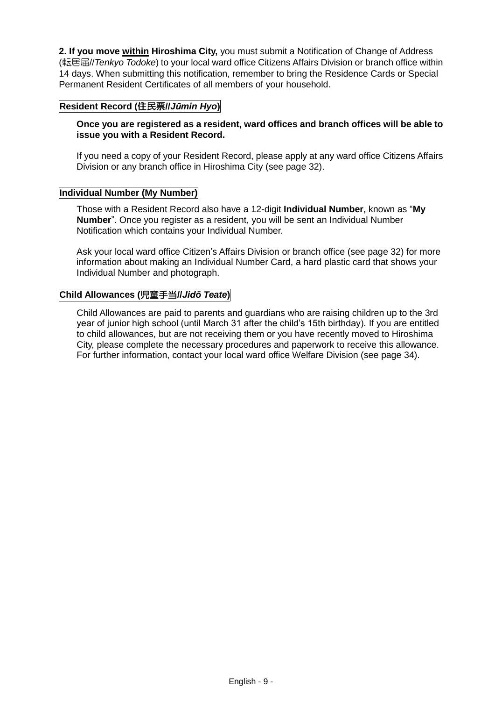**2. If you move within Hiroshima City,** you must submit a Notification of Change of Address (転居届//*Tenkyo Todoke*) to your local ward office Citizens Affairs Division or branch office within 14 days. When submitting this notification, remember to bring the Residence Cards or Special Permanent Resident Certificates of all members of your household.

## **Resident Record (**住民票**//***Jūmin Hyo***)**

**Once you are registered as a resident, ward offices and branch offices will be able to issue you with a Resident Record.**

If you need a copy of your Resident Record, please apply at any ward office Citizens Affairs Division or any branch office in Hiroshima City (see page 32).

#### **Individual Number (My Number)**

Those with a Resident Record also have a 12-digit **Individual Number**, known as "**My Number**". Once you register as a resident, you will be sent an Individual Number Notification which contains your Individual Number.

Ask your local ward office Citizen's Affairs Division or branch office (see page 32) for more information about making an Individual Number Card, a hard plastic card that shows your Individual Number and photograph.

## **Child Allowances (**児童手当**//***Jidō Teate***)**

Child Allowances are paid to parents and guardians who are raising children up to the 3rd year of junior high school (until March 31 after the child's 15th birthday). If you are entitled to child allowances, but are not receiving them or you have recently moved to Hiroshima City, please complete the necessary procedures and paperwork to receive this allowance. For further information, contact your local ward office Welfare Division (see page 34).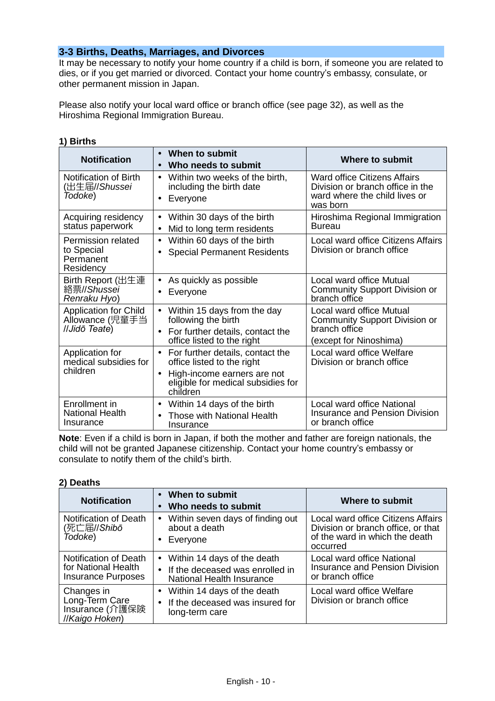## **3-3 Births, Deaths, Marriages, and Divorces**

It may be necessary to notify your home country if a child is born, if someone you are related to dies, or if you get married or divorced. Contact your home country's embassy, consulate, or other permanent mission in Japan.

Please also notify your local ward office or branch office (see page 32), as well as the Hiroshima Regional Immigration Bureau.

### **1) Births**

| <b>Notification</b>                                               | When to submit<br>$\bullet$<br>Who needs to submit<br>$\bullet$                                                                                                           | <b>Where to submit</b>                                                                                        |
|-------------------------------------------------------------------|---------------------------------------------------------------------------------------------------------------------------------------------------------------------------|---------------------------------------------------------------------------------------------------------------|
| Notification of Birth<br>(出生届//Shussei<br>Todoke)                 | Within two weeks of the birth,<br>$\bullet$<br>including the birth date<br>Everyone<br>$\bullet$                                                                          | Ward office Citizens Affairs<br>Division or branch office in the<br>ward where the child lives or<br>was born |
| Acquiring residency<br>status paperwork                           | Within 30 days of the birth<br>$\bullet$<br>Mid to long term residents<br>$\bullet$                                                                                       | Hiroshima Regional Immigration<br>Bureau                                                                      |
| <b>Permission related</b><br>to Special<br>Permanent<br>Residency | Within 60 days of the birth<br>$\bullet$<br><b>Special Permanent Residents</b><br>$\bullet$                                                                               | Local ward office Citizens Affairs<br>Division or branch office                                               |
| Birth Report (出生連<br>絡票//Shussei<br>Renraku Hyo)                  | As quickly as possible<br>$\bullet$<br>Everyone<br>$\bullet$                                                                                                              | Local ward office Mutual<br><b>Community Support Division or</b><br>branch office                             |
| <b>Application for Child</b><br>Allowance (児童手当<br>//Jidō Teate)  | Within 15 days from the day<br>$\bullet$<br>following the birth<br>For further details, contact the<br>$\bullet$<br>office listed to the right                            | Local ward office Mutual<br><b>Community Support Division or</b><br>branch office<br>(except for Ninoshima)   |
| Application for<br>medical subsidies for<br>children              | For further details, contact the<br>$\bullet$<br>office listed to the right<br>High-income earners are not<br>$\bullet$<br>eligible for medical subsidies for<br>children | Local ward office Welfare<br>Division or branch office                                                        |
| Enrollment in<br><b>National Health</b><br>Insurance              | Within 14 days of the birth<br>$\bullet$<br>Those with National Health<br>Insurance                                                                                       | Local ward office National<br><b>Insurance and Pension Division</b><br>or branch office                       |

**Note**: Even if a child is born in Japan, if both the mother and father are foreign nationals, the child will not be granted Japanese citizenship. Contact your home country's embassy or consulate to notify them of the child's birth.

### **2) Deaths**

| <b>Notification</b>                                                       | • When to submit<br>Who needs to submit<br>$\bullet$                                                     | <b>Where to submit</b>                                                                                                        |
|---------------------------------------------------------------------------|----------------------------------------------------------------------------------------------------------|-------------------------------------------------------------------------------------------------------------------------------|
| <b>Notification of Death</b><br>(死亡届//Shibō<br>Todoke)                    | Within seven days of finding out<br>about a death<br>Everyone<br>$\bullet$                               | <b>Local ward office Citizens Affairs</b><br>Division or branch office, or that<br>of the ward in which the death<br>occurred |
| Notification of Death<br>for National Health<br><b>Insurance Purposes</b> | Within 14 days of the death<br>If the deceased was enrolled in<br>$\bullet$<br>National Health Insurance | Local ward office National<br><b>Insurance and Pension Division</b><br>or branch office                                       |
| Changes in<br>Long-Term Care<br>Insurance (介護保険<br>//Kaigo Hoken)         | Within 14 days of the death<br>If the deceased was insured for<br>$\bullet$<br>long-term care            | Local ward office Welfare<br>Division or branch office                                                                        |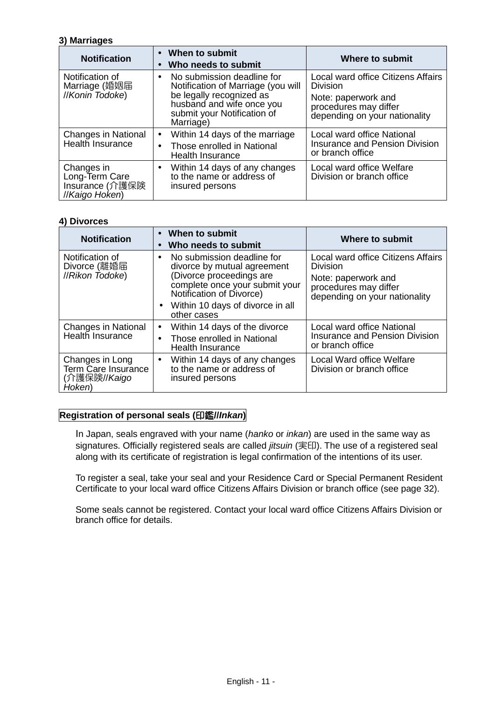#### **3) Marriages**

| <b>Notification</b>                                               | When to submit<br>Who needs to submit<br>$\bullet$                                                                                                                                 | Where to submit                                                               |
|-------------------------------------------------------------------|------------------------------------------------------------------------------------------------------------------------------------------------------------------------------------|-------------------------------------------------------------------------------|
| Notification of<br>Marriage (婚姻届<br>//Konin Todoke)               | No submission deadline for<br>$\bullet$<br>Notification of Marriage (you will<br>be legally recognized as<br>husband and wife once you<br>submit your Notification of<br>Marriage) | Local ward office Citizens Affairs<br><b>Division</b>                         |
|                                                                   |                                                                                                                                                                                    | Note: paperwork and<br>procedures may differ<br>depending on your nationality |
| <b>Changes in National</b>                                        | Within 14 days of the marriage<br>$\bullet$                                                                                                                                        | Local ward office National                                                    |
| Health Insurance                                                  | Those enrolled in National<br>$\bullet$<br>Health Insurance                                                                                                                        | <b>Insurance and Pension Division</b><br>or branch office                     |
| Changes in<br>Long-Term Care<br>Insurance (介護保険<br>//Kaigo Hoken) | Within 14 days of any changes<br>$\bullet$<br>to the name or address of<br>insured persons                                                                                         | Local ward office Welfare<br>Division or branch office                        |

### **4) Divorces**

| <b>Notification</b>                                              | When to submit<br>$\bullet$<br>Who needs to submit<br>$\bullet$                            | Where to submit                                                               |
|------------------------------------------------------------------|--------------------------------------------------------------------------------------------|-------------------------------------------------------------------------------|
| Notification of<br>Divorce (離婚届<br>//Rikon Todoke)               | No submission deadline for<br>$\bullet$<br>divorce by mutual agreement                     | Local ward office Citizens Affairs<br><b>Division</b>                         |
|                                                                  | (Divorce proceedings are<br>complete once your submit your<br>Notification of Divorce)     | Note: paperwork and<br>procedures may differ<br>depending on your nationality |
|                                                                  | • Within 10 days of divorce in all<br>other cases                                          |                                                                               |
| <b>Changes in National</b>                                       | Within 14 days of the divorce<br>٠                                                         | Local ward office National                                                    |
| Health Insurance                                                 | Those enrolled in National<br>$\bullet$<br>Health Insurance                                | <b>Insurance and Pension Division</b><br>or branch office                     |
| Changes in Long<br>Term Care Insurance<br>(介護保険//Kaigo<br>Hoken) | Within 14 days of any changes<br>$\bullet$<br>to the name or address of<br>insured persons | Local Ward office Welfare<br>Division or branch office                        |

### **Registration of personal seals (**印鑑**//***Inkan***)**

In Japan, seals engraved with your name (*hanko* or *inkan*) are used in the same way as signatures. Officially registered seals are called *jitsuin* (実印). The use of a registered seal along with its certificate of registration is legal confirmation of the intentions of its user.

To register a seal, take your seal and your Residence Card or Special Permanent Resident Certificate to your local ward office Citizens Affairs Division or branch office (see page 32).

Some seals cannot be registered. Contact your local ward office Citizens Affairs Division or branch office for details.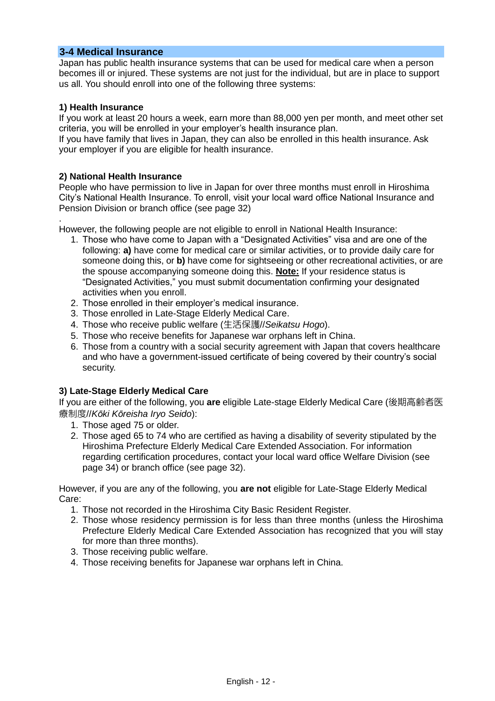### **3-4 Medical Insurance**

Japan has public health insurance systems that can be used for medical care when a person becomes ill or injured. These systems are not just for the individual, but are in place to support us all. You should enroll into one of the following three systems:

#### **1) Health Insurance**

If you work at least 20 hours a week, earn more than 88,000 yen per month, and meet other set criteria, you will be enrolled in your employer's health insurance plan.

If you have family that lives in Japan, they can also be enrolled in this health insurance. Ask your employer if you are eligible for health insurance.

#### **2) National Health Insurance**

People who have permission to live in Japan for over three months must enroll in Hiroshima City's National Health Insurance. To enroll, visit your local ward office National Insurance and Pension Division or branch office (see page 32)

. However, the following people are not eligible to enroll in National Health Insurance:

- 1. Those who have come to Japan with a "Designated Activities" visa and are one of the following: **a)** have come for medical care or similar activities, or to provide daily care for someone doing this, or **b)** have come for sightseeing or other recreational activities, or are the spouse accompanying someone doing this. **Note:** If your residence status is "Designated Activities," you must submit documentation confirming your designated activities when you enroll.
- 2. Those enrolled in their employer's medical insurance.
- 3. Those enrolled in Late-Stage Elderly Medical Care.
- 4. Those who receive public welfare (生活保護//*Seikatsu Hogo*).
- 5. Those who receive benefits for Japanese war orphans left in China.
- 6. Those from a country with a social security agreement with Japan that covers healthcare and who have a government-issued certificate of being covered by their country's social security.

### **3) Late-Stage Elderly Medical Care**

If you are either of the following, you **are** eligible Late-stage Elderly Medical Care (後期高齢者医 療制度//*Kōki Kōreisha Iryo Seido*):

- 1. Those aged 75 or older.
- 2. Those aged 65 to 74 who are certified as having a disability of severity stipulated by the Hiroshima Prefecture Elderly Medical Care Extended Association. For information regarding certification procedures, contact your local ward office Welfare Division (see page 34) or branch office (see page 32).

However, if you are any of the following, you **are not** eligible for Late-Stage Elderly Medical Care:

- 1. Those not recorded in the Hiroshima City Basic Resident Register.
- 2. Those whose residency permission is for less than three months (unless the Hiroshima Prefecture Elderly Medical Care Extended Association has recognized that you will stay for more than three months).
- 3. Those receiving public welfare.
- 4. Those receiving benefits for Japanese war orphans left in China.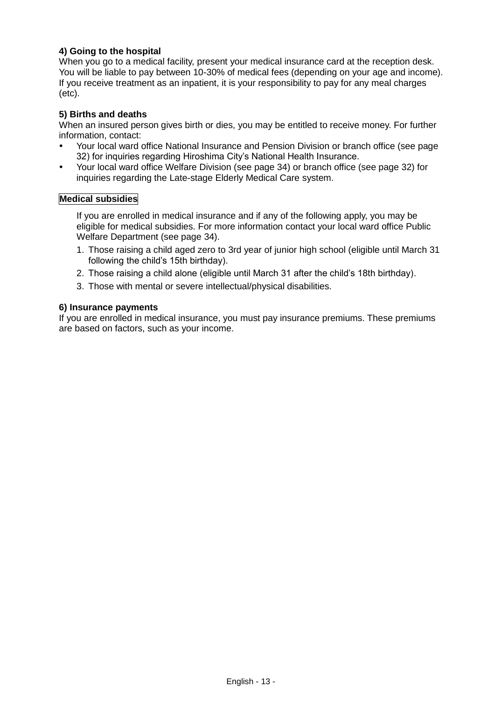## **4) Going to the hospital**

When you go to a medical facility, present your medical insurance card at the reception desk. You will be liable to pay between 10-30% of medical fees (depending on your age and income). If you receive treatment as an inpatient, it is your responsibility to pay for any meal charges (etc).

#### **5) Births and deaths**

When an insured person gives birth or dies, you may be entitled to receive money. For further information, contact:

- Your local ward office National Insurance and Pension Division or branch office (see page 32) for inquiries regarding Hiroshima City's National Health Insurance.
- Your local ward office Welfare Division (see page 34) or branch office (see page 32) for inquiries regarding the Late-stage Elderly Medical Care system.

#### **Medical subsidies**

If you are enrolled in medical insurance and if any of the following apply, you may be eligible for medical subsidies. For more information contact your local ward office Public Welfare Department (see page 34).

- 1. Those raising a child aged zero to 3rd year of junior high school (eligible until March 31 following the child's 15th birthday).
- 2. Those raising a child alone (eligible until March 31 after the child's 18th birthday).
- 3. Those with mental or severe intellectual/physical disabilities.

#### **6) Insurance payments**

If you are enrolled in medical insurance, you must pay insurance premiums. These premiums are based on factors, such as your income.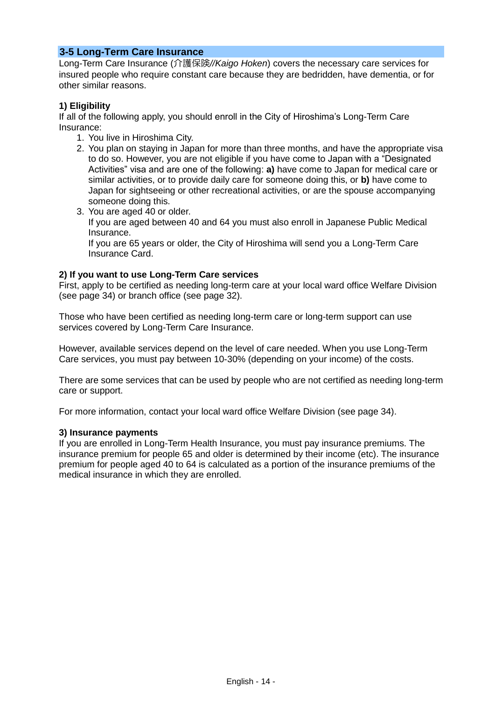## **3-5 Long-Term Care Insurance**

Long-Term Care Insurance (介護保険*//Kaigo Hoken*) covers the necessary care services for insured people who require constant care because they are bedridden, have dementia, or for other similar reasons.

### **1) Eligibility**

If all of the following apply, you should enroll in the City of Hiroshima's Long-Term Care Insurance:

- 1. You live in Hiroshima City.
- 2. You plan on staying in Japan for more than three months, and have the appropriate visa to do so. However, you are not eligible if you have come to Japan with a "Designated Activities" visa and are one of the following: **a)** have come to Japan for medical care or similar activities, or to provide daily care for someone doing this, or **b)** have come to Japan for sightseeing or other recreational activities, or are the spouse accompanying someone doing this.
- 3. You are aged 40 or older. If you are aged between 40 and 64 you must also enroll in Japanese Public Medical Insurance. If you are 65 years or older, the City of Hiroshima will send you a Long-Term Care Insurance Card.

### **2) If you want to use Long-Term Care services**

First, apply to be certified as needing long-term care at your local ward office Welfare Division (see page 34) or branch office (see page 32).

Those who have been certified as needing long-term care or long-term support can use services covered by Long-Term Care Insurance.

However, available services depend on the level of care needed. When you use Long-Term Care services, you must pay between 10-30% (depending on your income) of the costs.

There are some services that can be used by people who are not certified as needing long-term care or support.

For more information, contact your local ward office Welfare Division (see page 34).

### **3) Insurance payments**

If you are enrolled in Long-Term Health Insurance, you must pay insurance premiums. The insurance premium for people 65 and older is determined by their income (etc). The insurance premium for people aged 40 to 64 is calculated as a portion of the insurance premiums of the medical insurance in which they are enrolled.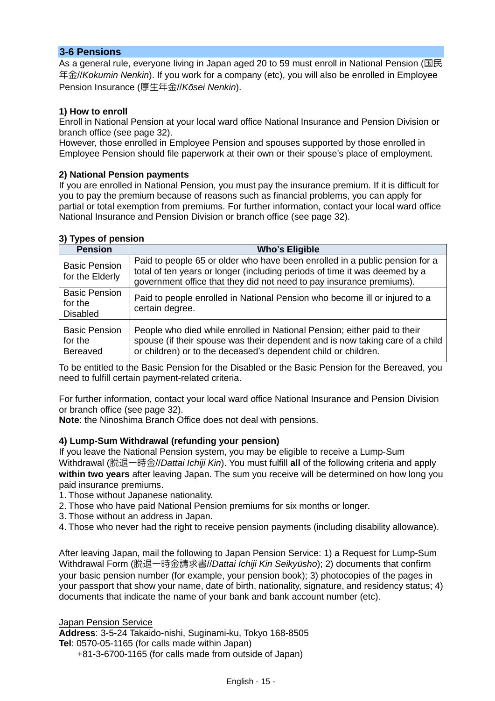## **3-6 Pensions**

As a general rule, everyone living in Japan aged 20 to 59 must enroll in National Pension (国民 年金//*Kokumin Nenkin*). If you work for a company (etc), you will also be enrolled in Employee Pension Insurance (厚生年金//*Kōsei Nenkin*).

### **1) How to enroll**

Enroll in National Pension at your local ward office National Insurance and Pension Division or branch office (see page 32).

However, those enrolled in Employee Pension and spouses supported by those enrolled in Employee Pension should file paperwork at their own or their spouse's place of employment.

#### **2) National Pension payments**

If you are enrolled in National Pension, you must pay the insurance premium. If it is difficult for you to pay the premium because of reasons such as financial problems, you can apply for partial or total exemption from premiums. For further information, contact your local ward office National Insurance and Pension Division or branch office (see page 32).

#### **3) Types of pension**

| <b>Pension</b>                                     | <b>Who's Eligible</b>                                                                                                                                                                                                             |
|----------------------------------------------------|-----------------------------------------------------------------------------------------------------------------------------------------------------------------------------------------------------------------------------------|
| <b>Basic Pension</b><br>for the Elderly            | Paid to people 65 or older who have been enrolled in a public pension for a<br>total of ten years or longer (including periods of time it was deemed by a<br>government office that they did not need to pay insurance premiums). |
| <b>Basic Pension</b><br>for the<br><b>Disabled</b> | Paid to people enrolled in National Pension who become ill or injured to a<br>certain degree.                                                                                                                                     |
| <b>Basic Pension</b><br>for the<br><b>Bereaved</b> | People who died while enrolled in National Pension; either paid to their<br>spouse (if their spouse was their dependent and is now taking care of a child<br>or children) or to the deceased's dependent child or children.       |

To be entitled to the Basic Pension for the Disabled or the Basic Pension for the Bereaved, you need to fulfill certain payment-related criteria.

For further information, contact your local ward office National Insurance and Pension Division or branch office (see page 32).

**Note**: the Ninoshima Branch Office does not deal with pensions.

### **4) Lump-Sum Withdrawal (refunding your pension)**

If you leave the National Pension system, you may be eligible to receive a Lump-Sum Withdrawal (脱退一時金//*Dattai Ichiji Kin*). You must fulfill **all** of the following criteria and apply **within two years** after leaving Japan. The sum you receive will be determined on how long you paid insurance premiums.

1. Those without Japanese nationality.

2. Those who have paid National Pension premiums for six months or longer.

3. Those without an address in Japan.

4. Those who never had the right to receive pension payments (including disability allowance).

After leaving Japan, mail the following to Japan Pension Service: 1) a Request for Lump-Sum Withdrawal Form (脱退一時金請求書//*Dattai Ichiji Kin Seikyūsho*); 2) documents that confirm your basic pension number (for example, your pension book); 3) photocopies of the pages in your passport that show your name, date of birth, nationality, signature, and residency status; 4) documents that indicate the name of your bank and bank account number (etc).

#### Japan Pension Service

**Address**: 3-5-24 Takaido-nishi, Suginami-ku, Tokyo 168-8505 **Tel**: 0570-05-1165 (for calls made within Japan)

+81-3-6700-1165 (for calls made from outside of Japan)